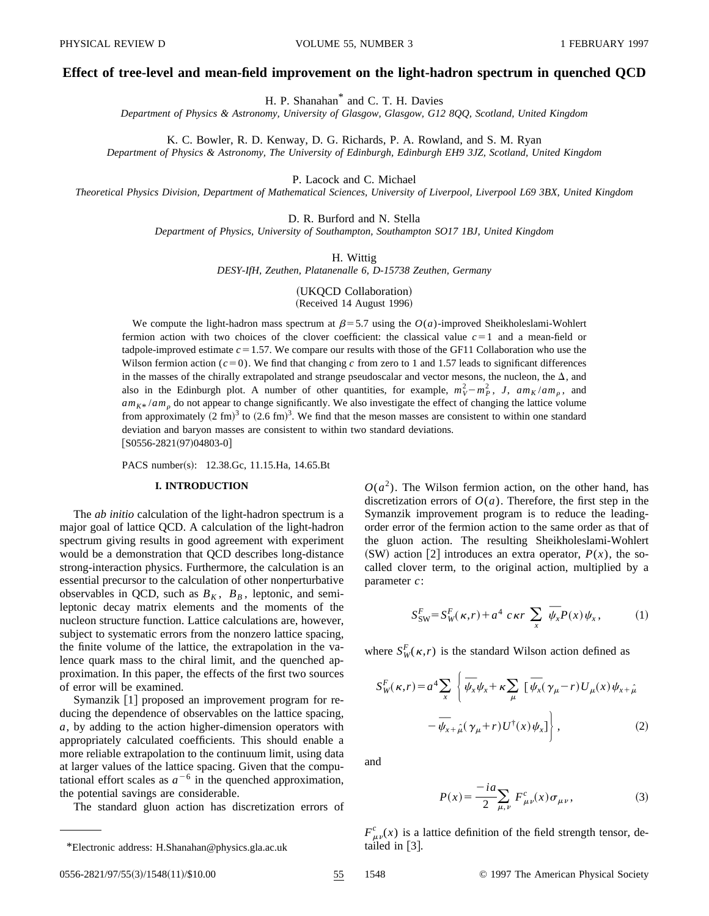# **Effect of tree-level and mean-field improvement on the light-hadron spectrum in quenched QCD**

H. P. Shanahan\* and C. T. H. Davies

*Department of Physics & Astronomy, University of Glasgow, Glasgow, G12 8QQ, Scotland, United Kingdom*

K. C. Bowler, R. D. Kenway, D. G. Richards, P. A. Rowland, and S. M. Ryan

*Department of Physics & Astronomy, The University of Edinburgh, Edinburgh EH9 3JZ, Scotland, United Kingdom*

P. Lacock and C. Michael

*Theoretical Physics Division, Department of Mathematical Sciences, University of Liverpool, Liverpool L69 3BX, United Kingdom*

D. R. Burford and N. Stella

*Department of Physics, University of Southampton, Southampton SO17 1BJ, United Kingdom*

H. Wittig

*DESY-IfH, Zeuthen, Platanenalle 6, D-15738 Zeuthen, Germany*

(UKQCD Collaboration) (Received 14 August 1996)

We compute the light-hadron mass spectrum at  $\beta$ =5.7 using the *O*(*a*)-improved Sheikholeslami-Wohlert fermion action with two choices of the clover coefficient: the classical value  $c=1$  and a mean-field or tadpole-improved estimate  $c = 1.57$ . We compare our results with those of the GF11 Collaboration who use the Wilson fermion action  $(c=0)$ . We find that changing c from zero to 1 and 1.57 leads to significant differences in the masses of the chirally extrapolated and strange pseudoscalar and vector mesons, the nucleon, the  $\Delta$ , and also in the Edinburgh plot. A number of other quantities, for example,  $m_V^2 - m_P^2$ , *J*,  $am_K / am_\rho$ , and  $am_{K^*}/am_{\rho}$  do not appear to change significantly. We also investigate the effect of changing the lattice volume from approximately  $(2 \text{ fm})^3$  to  $(2.6 \text{ fm})^3$ . We find that the meson masses are consistent to within one standard deviation and baryon masses are consistent to within two standard deviations.  $[$ S0556-2821(97)04803-0]

PACS number(s): 12.38.Gc, 11.15.Ha, 14.65.Bt

# **I. INTRODUCTION**

The *ab initio* calculation of the light-hadron spectrum is a major goal of lattice QCD. A calculation of the light-hadron spectrum giving results in good agreement with experiment would be a demonstration that QCD describes long-distance strong-interaction physics. Furthermore, the calculation is an essential precursor to the calculation of other nonperturbative observables in QCD, such as  $B_K$ ,  $B_B$ , leptonic, and semileptonic decay matrix elements and the moments of the nucleon structure function. Lattice calculations are, however, subject to systematic errors from the nonzero lattice spacing, the finite volume of the lattice, the extrapolation in the valence quark mass to the chiral limit, and the quenched approximation. In this paper, the effects of the first two sources of error will be examined.

Symanzik [1] proposed an improvement program for reducing the dependence of observables on the lattice spacing, *a*, by adding to the action higher-dimension operators with appropriately calculated coefficients. This should enable a more reliable extrapolation to the continuum limit, using data at larger values of the lattice spacing. Given that the computational effort scales as  $a^{-6}$  in the quenched approximation, the potential savings are considerable.

The standard gluon action has discretization errors of

 $O(a^2)$ . The Wilson fermion action, on the other hand, has discretization errors of  $O(a)$ . Therefore, the first step in the Symanzik improvement program is to reduce the leadingorder error of the fermion action to the same order as that of the gluon action. The resulting Sheikholeslami-Wohlert  $(SW)$  action [2] introduces an extra operator,  $P(x)$ , the socalled clover term, to the original action, multiplied by a parameter *c*:

$$
S_{SW}^F = S_W^F(\kappa, r) + a^4 c \kappa r \sum_x \overline{\psi}_x P(x) \psi_x, \qquad (1)
$$

where  $S_W^F(\kappa, r)$  is the standard Wilson action defined as

$$
S_W^F(\kappa, r) = a^4 \sum_x \left\{ \overline{\psi}_x \psi_x + \kappa \sum_\mu \left[ \overline{\psi}_x (\gamma_\mu - r) U_\mu(x) \psi_{x + \hat{\mu}} \right. \right. \\ \left. - \overline{\psi}_{x + \hat{\mu}} (\gamma_\mu + r) U^\dagger(x) \psi_x \right\}, \tag{2}
$$

and

$$
P(x) = \frac{-ia}{2} \sum_{\mu,\nu} F^c_{\mu\nu}(x) \sigma_{\mu\nu},
$$
 (3)

 $F^c_{\mu\nu}(x)$  is a lattice definition of the field strength tensor, de-

<sup>\*</sup>Electronic address: H.Shanahan@physics.gla.ac.uk tailed in [3].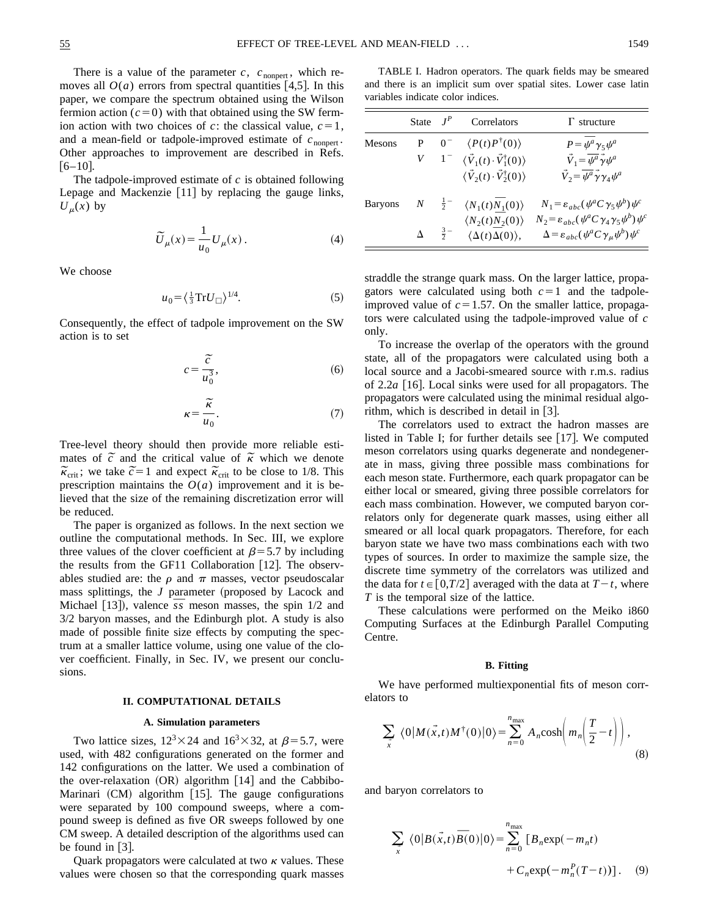There is a value of the parameter  $c$ ,  $c_{\text{nonpert}}$ , which removes all  $O(a)$  errors from spectral quantities [4,5]. In this paper, we compare the spectrum obtained using the Wilson fermion action  $(c=0)$  with that obtained using the SW fermion action with two choices of *c*: the classical value,  $c=1$ , and a mean-field or tadpole-improved estimate of  $c_{\text{nonpert}}$ . Other approaches to improvement are described in Refs.  $[6-10]$ .

The tadpole-improved estimate of *c* is obtained following Lepage and Mackenzie  $[11]$  by replacing the gauge links,  $U_{\mu}(x)$  by

$$
\widetilde{U}_{\mu}(x) = \frac{1}{u_0} U_{\mu}(x) . \tag{4}
$$

We choose

$$
u_0 = \left(\frac{1}{3}\mathrm{Tr}U_{\square}\right)^{1/4}.\tag{5}
$$

Consequently, the effect of tadpole improvement on the SW action is to set

$$
c = \frac{\widetilde{c}}{u_0^3},\tag{6}
$$

$$
\kappa = \frac{\widetilde{\kappa}}{u_0}.\tag{7}
$$

Tree-level theory should then provide more reliable esti-Tree-level theory should then provide more reliable esumates of  $\tilde{c}$  and the critical value of  $\tilde{\kappa}$  which we denote mates of c and the critical value of k which we denote<br>  $\tilde{\kappa}_{crit}$ ; we take  $\tilde{c} = 1$  and expect  $\tilde{\kappa}_{crit}$  to be close to 1/8. This prescription maintains the  $O(a)$  improvement and it is believed that the size of the remaining discretization error will be reduced.

The paper is organized as follows. In the next section we outline the computational methods. In Sec. III, we explore three values of the clover coefficient at  $\beta$ =5.7 by including the results from the GF11 Collaboration  $[12]$ . The observables studied are: the  $\rho$  and  $\pi$  masses, vector pseudoscalar mass splittings, the  $J$  parameter (proposed by Lacock and mass splittings, the *J* parameter (proposed by Lacock and Michael [13]), valence  $\overline{s}$  meson masses, the spin 1/2 and 3/2 baryon masses, and the Edinburgh plot. A study is also made of possible finite size effects by computing the spectrum at a smaller lattice volume, using one value of the clover coefficient. Finally, in Sec. IV, we present our conclusions.

#### **II. COMPUTATIONAL DETAILS**

## **A. Simulation parameters**

Two lattice sizes,  $12^3 \times 24$  and  $16^3 \times 32$ , at  $\beta = 5.7$ , were used, with 482 configurations generated on the former and 142 configurations on the latter. We used a combination of the over-relaxation  $(OR)$  algorithm  $[14]$  and the Cabbibo-Marinari  $(CM)$  algorithm [15]. The gauge configurations were separated by 100 compound sweeps, where a compound sweep is defined as five OR sweeps followed by one CM sweep. A detailed description of the algorithms used can be found in  $|3|$ .

Quark propagators were calculated at two  $\kappa$  values. These values were chosen so that the corresponding quark masses

TABLE I. Hadron operators. The quark fields may be smeared and there is an implicit sum over spatial sites. Lower case latin variables indicate color indices.

|               |   | State $J^P$ Correlators                                                                                      | $\Gamma$ structure                                                                                                                       |
|---------------|---|--------------------------------------------------------------------------------------------------------------|------------------------------------------------------------------------------------------------------------------------------------------|
| <b>Mesons</b> |   | $P = 0^ \langle P(t)P^{\dagger}(0) \rangle$                                                                  | $P = \overline{\psi}^a \gamma_5 \psi^a$                                                                                                  |
|               |   | $V = 1 - \langle \vec{V}_1(t) \cdot \vec{V}_1^{\dagger}(0) \rangle$                                          | $\vec{V}_1 = \vec{\psi}^a \vec{\gamma} \psi^a$                                                                                           |
|               |   | $\langle \vec{V}_2(t) \cdot \vec{V}_2^{\dagger}(0) \rangle$                                                  | $\vec{V}_2 = \overline{\psi^a} \vec{\gamma} \gamma_4 \psi^a$                                                                             |
|               |   | Baryons $N = \frac{1}{2} - \langle N_1(t) \overline{N}_1(0) \rangle$                                         | $N_1 = \varepsilon_{abc} (\psi^a C \gamma_5 \psi^b) \psi^c$                                                                              |
|               | Δ | $\langle N_2(t)\overline{N}_2(0)\rangle$<br>$\frac{3}{2}$ $\langle \Delta(t) \overline{\Delta}(0) \rangle$ , | $N_2 = \varepsilon_{abc} (\psi^a C \gamma_4 \gamma_5 \psi^b) \psi^c$<br>$\Delta = \varepsilon_{abc} (\psi^a C \gamma_\mu \psi^b) \psi^c$ |

straddle the strange quark mass. On the larger lattice, propagators were calculated using both  $c=1$  and the tadpoleimproved value of  $c=1.57$ . On the smaller lattice, propagators were calculated using the tadpole-improved value of *c* only.

To increase the overlap of the operators with the ground state, all of the propagators were calculated using both a local source and a Jacobi-smeared source with r.m.s. radius of  $2.2a$  [16]. Local sinks were used for all propagators. The propagators were calculated using the minimal residual algorithm, which is described in detail in  $[3]$ .

The correlators used to extract the hadron masses are listed in Table I; for further details see  $[17]$ . We computed meson correlators using quarks degenerate and nondegenerate in mass, giving three possible mass combinations for each meson state. Furthermore, each quark propagator can be either local or smeared, giving three possible correlators for each mass combination. However, we computed baryon correlators only for degenerate quark masses, using either all smeared or all local quark propagators. Therefore, for each baryon state we have two mass combinations each with two types of sources. In order to maximize the sample size, the discrete time symmetry of the correlators was utilized and the data for  $t \in [0, T/2]$  averaged with the data at  $T-t$ , where *T* is the temporal size of the lattice.

These calculations were performed on the Meiko i860 Computing Surfaces at the Edinburgh Parallel Computing Centre.

## **B. Fitting**

We have performed multiexponential fits of meson correlators to

$$
\sum_{\vec{x}} \langle 0 | M(\vec{x}, t) M^{\dagger}(0) | 0 \rangle = \sum_{n=0}^{n_{\text{max}}} A_n \cosh\left( m_n \left( \frac{T}{2} - t \right) \right), \tag{8}
$$

and baryon correlators to

$$
\sum_{\vec{x}} \langle 0|B(\vec{x},t)\overline{B}(0)|0\rangle = \sum_{n=0}^{n_{\text{max}}} [B_n \exp(-m_n t) + C_n \exp(-m_n^P(T-t))]. \quad (9)
$$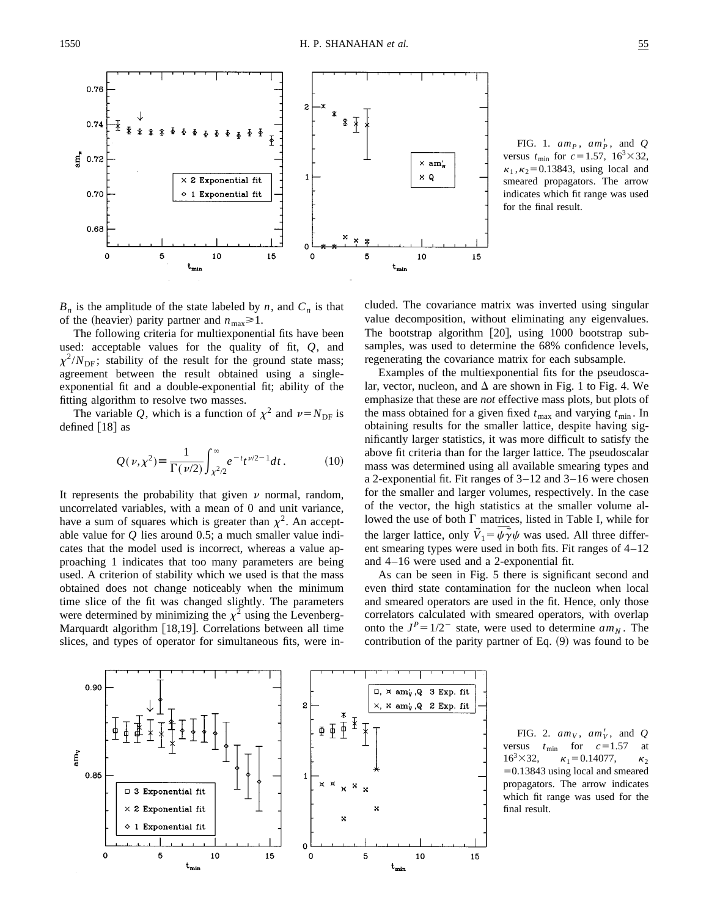$0.76$  $0.74$  $\mathbf{g}$  0.72  $\times$  am'. × Q  $\times$  2 Exponential fit 0.70 1 Exponential fit 0.68 × ×  $\Omega$  $\mathbf 0$ 5 10 15 5 10 15  $\mathbf 0$ ʻmir

FIG. 1.  $am_P$ ,  $am_P'$ , and *Q* versus  $t_{\text{min}}$  for  $c = 1.57$ ,  $16^{3} \times 32$ ,  $\kappa_1$ ,  $\kappa_2$ =0.13843, using local and smeared propagators. The arrow indicates which fit range was used for the final result.

 $B_n$  is the amplitude of the state labeled by *n*, and  $C_n$  is that of the (heavier) parity partner and  $n_{\text{max}} \ge 1$ .

The following criteria for multiexponential fits have been used: acceptable values for the quality of fit, *Q*, and  $\chi^2/N_{\text{DF}}$ ; stability of the result for the ground state mass; agreement between the result obtained using a singleexponential fit and a double-exponential fit; ability of the fitting algorithm to resolve two masses.

The variable *Q*, which is a function of  $\chi^2$  and  $\nu = N_{\text{DF}}$  is defined  $[18]$  as

$$
Q(\nu,\chi^2) \equiv \frac{1}{\Gamma(\nu/2)} \int_{\chi^2/2}^{\infty} e^{-t} t^{\nu/2 - 1} dt.
$$
 (10)

It represents the probability that given  $\nu$  normal, random, uncorrelated variables, with a mean of 0 and unit variance, have a sum of squares which is greater than  $\chi^2$ . An acceptable value for *Q* lies around 0.5; a much smaller value indicates that the model used is incorrect, whereas a value approaching 1 indicates that too many parameters are being used. A criterion of stability which we used is that the mass obtained does not change noticeably when the minimum time slice of the fit was changed slightly. The parameters were determined by minimizing the  $\chi^2$  using the Levenberg-Marquardt algorithm  $[18,19]$ . Correlations between all time slices, and types of operator for simultaneous fits, were included. The covariance matrix was inverted using singular value decomposition, without eliminating any eigenvalues. The bootstrap algorithm  $[20]$ , using 1000 bootstrap subsamples, was used to determine the 68% confidence levels, regenerating the covariance matrix for each subsample.

Examples of the multiexponential fits for the pseudoscalar, vector, nucleon, and  $\Delta$  are shown in Fig. 1 to Fig. 4. We emphasize that these are *not* effective mass plots, but plots of the mass obtained for a given fixed  $t_{\text{max}}$  and varying  $t_{\text{min}}$ . In obtaining results for the smaller lattice, despite having significantly larger statistics, it was more difficult to satisfy the above fit criteria than for the larger lattice. The pseudoscalar mass was determined using all available smearing types and a 2-exponential fit. Fit ranges of 3–12 and 3–16 were chosen for the smaller and larger volumes, respectively. In the case of the vector, the high statistics at the smaller volume allowed the use of both  $\Gamma$  matrices, listed in Table I, while for lowed the use of both 1 matrices, listed in Table 1, while for<br>the larger lattice, only  $\vec{V}_1 = \vec{\psi} \vec{\gamma} \psi$  was used. All three different smearing types were used in both fits. Fit ranges of 4–12 and 4–16 were used and a 2-exponential fit.

As can be seen in Fig. 5 there is significant second and even third state contamination for the nucleon when local and smeared operators are used in the fit. Hence, only those correlators calculated with smeared operators, with overlap onto the  $J^P = 1/2^-$  state, were used to determine  $am_N$ . The contribution of the parity partner of Eq.  $(9)$  was found to be

FIG. 2.  $am_V$ ,  $am_V'$ , and Q versus  $t_{\text{min}}$  for  $c=1.57$  at<br>16<sup>3</sup>×32,  $\kappa_1 = 0.14077$ ,  $\kappa_2$  $\kappa_1 = 0.14077$ ,  $\kappa_2$  $=0.13843$  using local and smeared propagators. The arrow indicates which fit range was used for the final result.



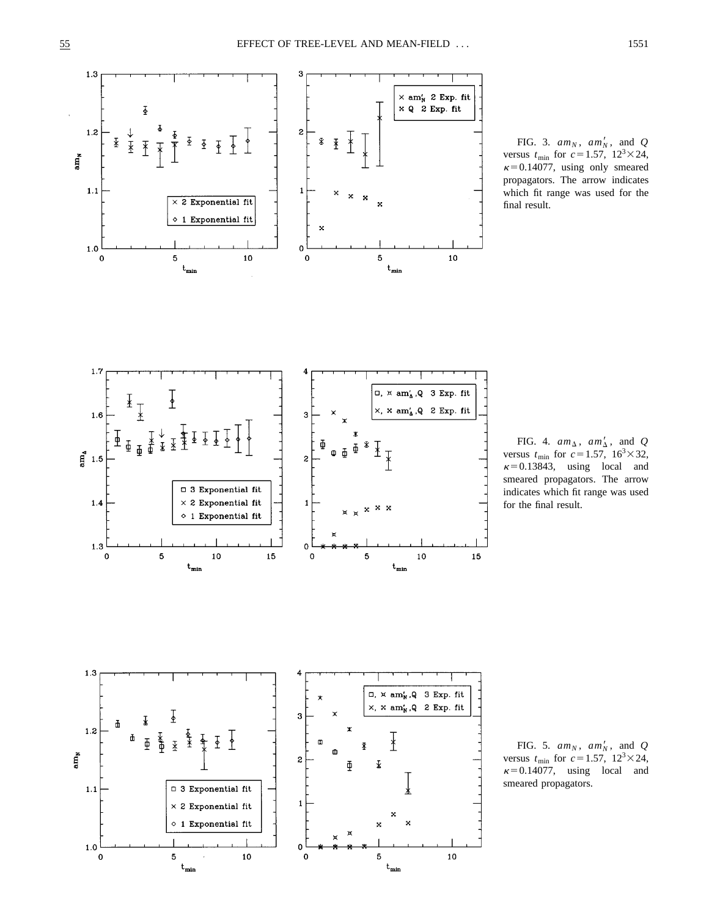$1.1$ 

 $1.0$ 

 $\pmb{0}$ 

 $\Box$  3 Exponential fit  $\times$  2 Exponential fit

 $\diamond$  1 Exponential fit

 ${\bf 10}$ 

5

 $\rm t_{min}$ 

-1

 $\mathbf 0$ 

 $\mathbf 0$ 

 $\mathbf 5$ 

 $t_{min}$ 

 ${\bf 10}$ 



FIG. 3.  $am_N$ ,  $am'_N$ , and *Q* versus  $t_{\text{min}}$  for  $c=1.57$ ,  $12^{3}\times24$ ,  $\kappa$ =0.14077, using only smeared propagators. The arrow indicates which fit range was used for the final result.

FIG. 4.  $am_{\Delta}$ ,  $am'_{\Delta}$ , and *Q* versus  $t_{\text{min}}$  for  $c=1.57$ ,  $16^3 \times 32$ ,  $\kappa$ =0.13843, using local and smeared propagators. The arrow indicates which fit range was used for the final result.

FIG. 5.  $am_N$ ,  $am'_N$ , and *Q* versus  $t_{\text{min}}$  for  $c = 1.57$ ,  $12^3 \times 24$ ,  $\kappa$ =0.14077, using local and smeared propagators.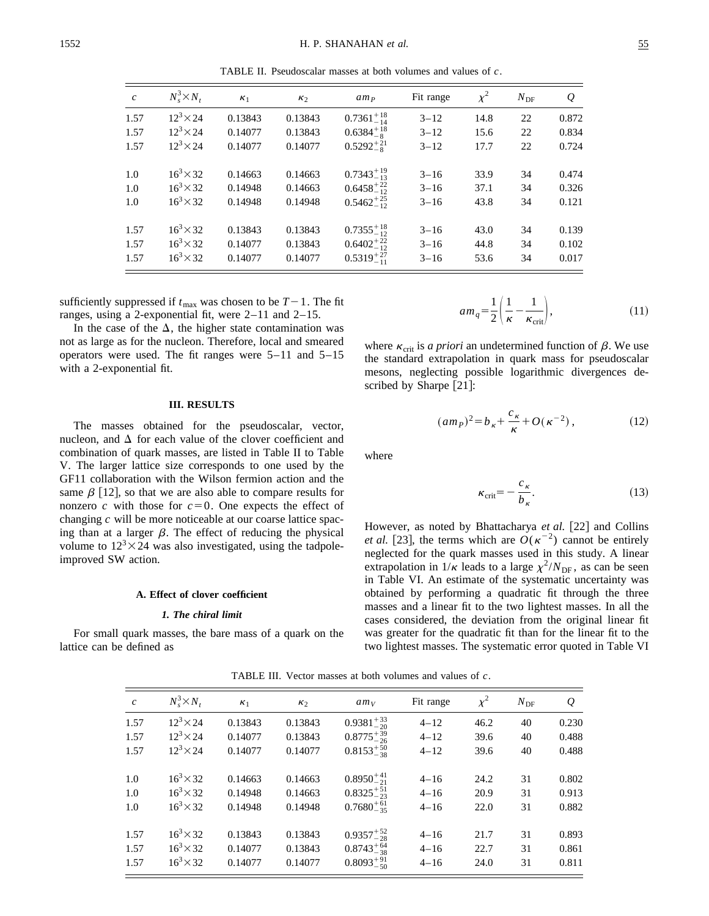TABLE II. Pseudoscalar masses at both volumes and values of *c*.

| $\mathcal{C}$ | $N_s^3 \times N_t$ | $\kappa_1$ | $\kappa_2$ | am <sub>p</sub>      | Fit range | $\chi^2$ | $N_{\rm DF}$ | Q     |
|---------------|--------------------|------------|------------|----------------------|-----------|----------|--------------|-------|
| 1.57          | $12^3 \times 24$   | 0.13843    | 0.13843    | $0.7361_{-14}^{+18}$ | $3 - 12$  | 14.8     | 22           | 0.872 |
| 1.57          | $12^3 \times 24$   | 0.14077    | 0.13843    | $0.6384_{-8}^{+18}$  | $3 - 12$  | 15.6     | 22           | 0.834 |
| 1.57          | $12^3 \times 24$   | 0.14077    | 0.14077    | $0.5292^{+21}_{-8}$  | $3 - 12$  | 17.7     | 22           | 0.724 |
| 1.0           | $16^3 \times 32$   | 0.14663    | 0.14663    | $0.7343_{-13}^{+19}$ | $3 - 16$  | 33.9     | 34           | 0.474 |
| 1.0           | $16^3 \times 32$   | 0.14948    | 0.14663    | $0.6458^{+22}_{-12}$ | $3 - 16$  | 37.1     | 34           | 0.326 |
| 1.0           | $16^3 \times 32$   | 0.14948    | 0.14948    | $0.5462^{+25}_{-12}$ | $3 - 16$  | 43.8     | 34           | 0.121 |
| 1.57          | $16^3 \times 32$   | 0.13843    | 0.13843    | $0.7355_{-12}^{+18}$ | $3 - 16$  | 43.0     | 34           | 0.139 |
| 1.57          | $16^3 \times 32$   | 0.14077    | 0.13843    | $0.6402^{+22}_{-12}$ | $3 - 16$  | 44.8     | 34           | 0.102 |
| 1.57          | $16^3 \times 32$   | 0.14077    | 0.14077    | $0.5319^{+27}_{-11}$ | $3 - 16$  | 53.6     | 34           | 0.017 |

sufficiently suppressed if  $t_{\text{max}}$  was chosen to be  $T-1$ . The fit ranges, using a 2-exponential fit, were 2–11 and 2–15.

In the case of the  $\Delta$ , the higher state contamination was not as large as for the nucleon. Therefore, local and smeared operators were used. The fit ranges were 5–11 and 5–15 with a 2-exponential fit.

# **III. RESULTS**

The masses obtained for the pseudoscalar, vector, nucleon, and  $\Delta$  for each value of the clover coefficient and combination of quark masses, are listed in Table II to Table V. The larger lattice size corresponds to one used by the GF11 collaboration with the Wilson fermion action and the same  $\beta$  [12], so that we are also able to compare results for nonzero *c* with those for  $c=0$ . One expects the effect of changing *c* will be more noticeable at our coarse lattice spacing than at a larger  $\beta$ . The effect of reducing the physical volume to  $12<sup>3</sup> \times 24$  was also investigated, using the tadpoleimproved SW action.

#### **A. Effect of clover coefficient**

#### *1. The chiral limit*

For small quark masses, the bare mass of a quark on the lattice can be defined as

| $am_q = \frac{1}{2} \left( \frac{\mu}{\kappa} - \frac{\mu}{\kappa_{\rm crit}} \right),$ |  | (11) |
|-----------------------------------------------------------------------------------------|--|------|

where  $\kappa_{\rm crit}$  is *a priori* an undetermined function of  $\beta$ . We use the standard extrapolation in quark mass for pseudoscalar mesons, neglecting possible logarithmic divergences described by Sharpe  $[21]$ :

$$
(am_P)^2 = b_{\kappa} + \frac{c_{\kappa}}{\kappa} + O(\kappa^{-2}),
$$
 (12)

where

$$
\kappa_{\rm crit} = -\frac{c_{\kappa}}{b_{\kappa}}.\tag{13}
$$

However, as noted by Bhattacharya *et al.* [22] and Collins *et al.* [23], the terms which are  $O(\kappa^{-2})$  cannot be entirely neglected for the quark masses used in this study. A linear extrapolation in  $1/\kappa$  leads to a large  $\chi^2/N_{\text{DF}}$ , as can be seen in Table VI. An estimate of the systematic uncertainty was obtained by performing a quadratic fit through the three masses and a linear fit to the two lightest masses. In all the cases considered, the deviation from the original linear fit was greater for the quadratic fit than for the linear fit to the two lightest masses. The systematic error quoted in Table VI

| $\boldsymbol{c}$ | $N_s^3 \times N_t$ | $\kappa_1$ | $\kappa_2$ | $am_V$               | Fit range | $\chi^2$ | $N_{\rm DF}$ | $\varrho$ |
|------------------|--------------------|------------|------------|----------------------|-----------|----------|--------------|-----------|
| 1.57             | $12^3 \times 24$   | 0.13843    | 0.13843    | $0.9381^{+33}_{-20}$ | $4 - 12$  | 46.2     | 40           | 0.230     |
| 1.57             | $12^3 \times 24$   | 0.14077    | 0.13843    | $0.8775^{+39}_{-26}$ | $4 - 12$  | 39.6     | 40           | 0.488     |
| 1.57             | $12^3 \times 24$   | 0.14077    | 0.14077    | $0.8153_{-38}^{+50}$ | $4 - 12$  | 39.6     | 40           | 0.488     |
| 1.0              | $16^3 \times 32$   | 0.14663    | 0.14663    | $0.8950^{+41}_{-21}$ | $4 - 16$  | 24.2     | 31           | 0.802     |
| 1.0              | $16^3 \times 32$   | 0.14948    | 0.14663    | $0.8325_{-23}^{+51}$ | $4 - 16$  | 20.9     | 31           | 0.913     |
| 1.0              | $16^3 \times 32$   | 0.14948    | 0.14948    | $0.7680^{+61}_{-35}$ | $4 - 16$  | 22.0     | 31           | 0.882     |
| 1.57             | $16^3 \times 32$   | 0.13843    | 0.13843    | $0.9357^{+52}_{-28}$ | $4 - 16$  | 21.7     | 31           | 0.893     |
| 1.57             | $16^3 \times 32$   | 0.14077    | 0.13843    | $0.8743_{-38}^{+64}$ | $4 - 16$  | 22.7     | 31           | 0.861     |
| 1.57             | $16^3 \times 32$   | 0.14077    | 0.14077    | $0.8093^{+91}_{-50}$ | $4 - 16$  | 24.0     | 31           | 0.811     |

TABLE III. Vector masses at both volumes and values of *c*.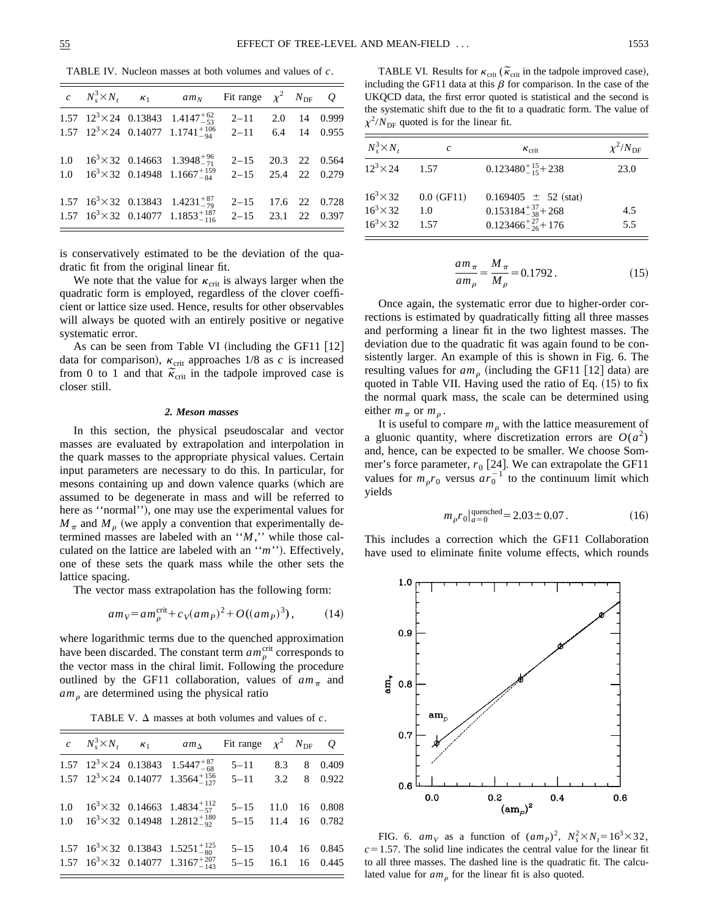TABLE IV. Nucleon masses at both volumes and values of *c*.

|  | c $N_s^3 \times N_t$ $\kappa_1$ am <sub>N</sub> Fit range $\chi^2$ N <sub>DF</sub> Q |                      |  |  |
|--|--------------------------------------------------------------------------------------|----------------------|--|--|
|  | 1.57 $12^3 \times 24$ 0.13843 1.4147 <sup>+62</sup>                                  | $2-11$ 2.0 14 0.999  |  |  |
|  | 1.57 $12^3 \times 24$ 0.14077 $1.1741^{+106}_{-94}$                                  | $2-11$ 6.4 14 0.955  |  |  |
|  | 1.0 $16^3 \times 32$ 0.14663 1.3948 <sup>+96</sup> <sub>-71</sub>                    | $2-15$ 20.3 22 0.564 |  |  |
|  | 1.0 $16^3 \times 32$ 0.14948 1.1667 <sup>+159</sup>                                  | $2-15$ 25.4 22 0.279 |  |  |
|  | 1.57 $16^3 \times 32$ 0.13843 $1.4231^{+87}_{-79}$                                   | 2-15 17.6 22 0.728   |  |  |
|  | 1.57 $16^3 \times 32$ 0.14077 1.1853 <sup>+187</sup>                                 | $2-15$ 23.1 22 0.397 |  |  |

is conservatively estimated to be the deviation of the quadratic fit from the original linear fit.

We note that the value for  $\kappa_{\rm crit}$  is always larger when the quadratic form is employed, regardless of the clover coefficient or lattice size used. Hence, results for other observables will always be quoted with an entirely positive or negative systematic error.

As can be seen from Table VI (including the GF11  $[12]$ data for comparison),  $\kappa_{\text{crit}}$  approaches 1/8 as *c* is increased data for comparison),  $\kappa_{\rm crit}$  approaches 1/8 as c is increased<br>from 0 to 1 and that  $\tilde{\kappa}_{\rm crit}$  in the tadpole improved case is closer still.

# *2. Meson masses*

In this section, the physical pseudoscalar and vector masses are evaluated by extrapolation and interpolation in the quark masses to the appropriate physical values. Certain input parameters are necessary to do this. In particular, for mesons containing up and down valence quarks (which are assumed to be degenerate in mass and will be referred to here as "normal"), one may use the experimental values for  $M_{\pi}$  and  $M_{\rho}$  (we apply a convention that experimentally determined masses are labeled with an ''*M*,'' while those calculated on the lattice are labeled with an "*m*"). Effectively, one of these sets the quark mass while the other sets the lattice spacing.

The vector mass extrapolation has the following form:

$$
am_V = am_p^{\text{crit}} + c_V(am_P)^2 + O((am_P)^3), \qquad (14)
$$

where logarithmic terms due to the quenched approximation have been discarded. The constant term  $am_{\rho}^{\text{crit}}$  corresponds to the vector mass in the chiral limit. Following the procedure outlined by the GF11 collaboration, values of  $am_\pi$  and  $am<sub>o</sub>$  are determined using the physical ratio

TABLE V.  $\Delta$  masses at both volumes and values of *c*.

|  | c $N_s^3 \times N_t$ $\kappa_1$ am <sub><math>\Delta</math></sub> Fit range $\chi^2$ $N_{\text{DF}}$ Q |                    |  |             |
|--|--------------------------------------------------------------------------------------------------------|--------------------|--|-------------|
|  | 1.57 $12^3 \times 24$ 0.13843 $1.5447^{+87}_{-68}$                                                     | $5 - 11$           |  | 8.3 8 0.409 |
|  | 1.57 $12^3 \times 24$ 0.14077 $1.3564^{+156}_{-127}$                                                   | $5-11$ 3.2 8 0.922 |  |             |
|  | 1.0 $16^3 \times 32$ 0.14663 1.4834 <sup>+112</sup>                                                    | 5-15 11.0 16 0.808 |  |             |
|  | 1.0 $16^3 \times 32$ 0.14948 1.2812 <sup>+180</sup>                                                    | 5-15 11.4 16 0.782 |  |             |
|  | 1.57 $16^3 \times 32$ 0.13843 $1.5251^{+125}_{-80}$                                                    | 5-15 10.4 16 0.845 |  |             |
|  | 1.57 $16^3 \times 32$ 0.14077 1.3167 $^{+207}_{-143}$                                                  | 5-15 16.1 16 0.445 |  |             |

TABLE VI. Results for  $\kappa_{\rm crit}$  ( $\tilde{\kappa}_{\rm crit}$  in the tadpole improved case), including the GF11 data at this  $\beta$  for comparison. In the case of the UKQCD data, the first error quoted is statistical and the second is the systematic shift due to the fit to a quadratic form. The value of  $\chi^2/N_{\text{DF}}$  quoted is for the linear fit.

| $N_s^3 \times N_t$                                       | c                           | $\kappa_{\rm crit}$                                                                    | $\chi^2/N_{\rm DF}$ |
|----------------------------------------------------------|-----------------------------|----------------------------------------------------------------------------------------|---------------------|
| $12^3 \times 24$                                         | 1.57                        | $0.123480^{+15}_{-15}$ + 238                                                           | 23.0                |
| $16^3 \times 32$<br>$16^3 \times 32$<br>$16^3 \times 32$ | $0.0$ (GF11)<br>1.0<br>1.57 | $0.169405 \pm 52$ (stat)<br>$0.153184^{+37}_{-38}$ + 268<br>$0.123466^{+27}_{-26}+176$ | 4.5<br>5.5          |

$$
\frac{am_{\pi}}{am_{\rho}} = \frac{M_{\pi}}{M_{\rho}} = 0.1792.
$$
 (15)

Once again, the systematic error due to higher-order corrections is estimated by quadratically fitting all three masses and performing a linear fit in the two lightest masses. The deviation due to the quadratic fit was again found to be consistently larger. An example of this is shown in Fig. 6. The resulting values for  $am<sub>o</sub>$  (including the GF11 [12] data) are quoted in Table VII. Having used the ratio of Eq.  $(15)$  to fix the normal quark mass, the scale can be determined using either  $m_\pi$  or  $m_\theta$ .

It is useful to compare  $m<sub>\rho</sub>$  with the lattice measurement of a gluonic quantity, where discretization errors are  $O(a^2)$ and, hence, can be expected to be smaller. We choose Sommer's force parameter,  $r_0$  [24]. We can extrapolate the GF11 values for  $m_p r_0$  versus  $ar_0^{-1}$  to the continuum limit which yields

$$
m_{\rho}r_0|_{a=0}^{\text{quenched}} = 2.03 \pm 0.07. \tag{16}
$$

This includes a correction which the GF11 Collaboration have used to eliminate finite volume effects, which rounds



FIG. 6.  $am_V$  as a function of  $(am_P)^2$ ,  $N_s^2 \times N_t = 16^3 \times 32$ ,  $c=1.57$ . The solid line indicates the central value for the linear fit to all three masses. The dashed line is the quadratic fit. The calculated value for  $am<sub>o</sub>$  for the linear fit is also quoted.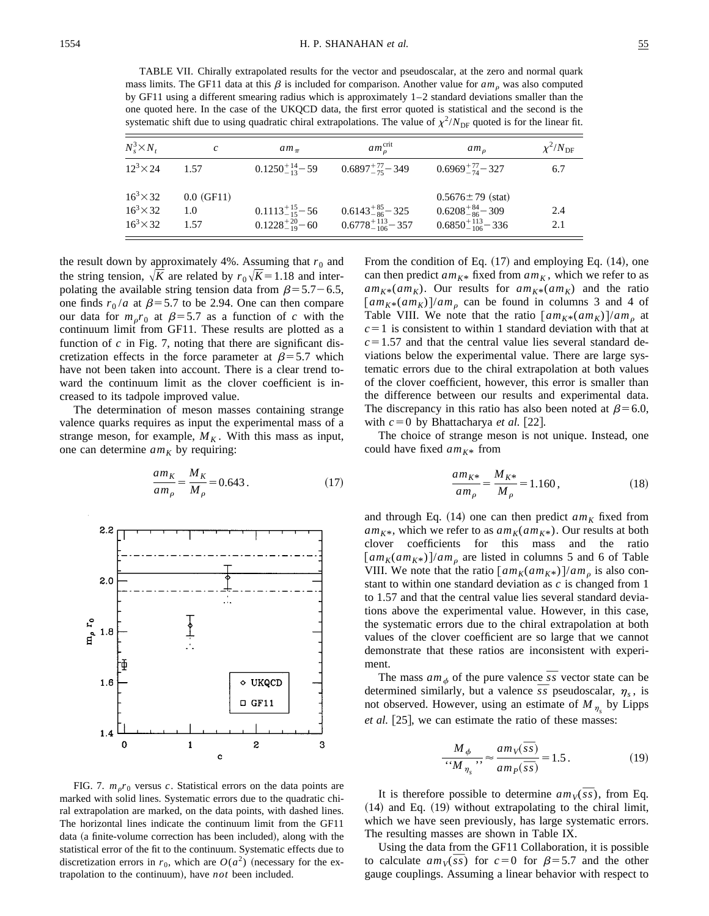TABLE VII. Chirally extrapolated results for the vector and pseudoscalar, at the zero and normal quark mass limits. The GF11 data at this  $\beta$  is included for comparison. Another value for  $am_\rho$  was also computed by GF11 using a different smearing radius which is approximately 1–2 standard deviations smaller than the one quoted here. In the case of the UKQCD data, the first error quoted is statistical and the second is the systematic shift due to using quadratic chiral extrapolations. The value of  $\chi^2/N_{\text{DF}}$  quoted is for the linear fit.

| $N_s^3 \times N_t$ | c            | $am_{\pi}$                | $am_{\rho}^{\text{crit}}$    | $am_{\alpha}$                | $\chi^2/N_{\text{DF}}$ |
|--------------------|--------------|---------------------------|------------------------------|------------------------------|------------------------|
| $12^3 \times 24$   | 1.57         | $0.1250^{+14}_{-13} - 59$ | $0.6897^{+77}_{-75} - 349$   | $0.6969^{+77}_{-74} - 327$   | 6.7                    |
| $16^3 \times 32$   | $0.0$ (GF11) |                           |                              | $0.5676 \pm 79$ (stat)       |                        |
| $16^3 \times 32$   | 1.0          | $0.1113^{+15}_{-15} - 56$ | $0.6143^{+85}_{-86} - 325$   | $0.6208^{+84}_{-86} - 309$   | 2.4                    |
| $16^3 \times 32$   | 1.57         | $0.1228^{+20}_{-19} - 60$ | $0.6778^{+113}_{-106} - 357$ | $0.6850^{+113}_{-106} - 336$ | 2.1                    |

the result down by approximately 4%. Assuming that  $r_0$  and the string tension,  $\sqrt{K}$  are related by  $r_0\sqrt{K}$  = 1.18 and interpolating the available string tension data from  $\beta$ =5.7–6.5, one finds  $r_0/a$  at  $\beta$ =5.7 to be 2.94. One can then compare our data for  $m_p r_0$  at  $\beta = 5.7$  as a function of *c* with the continuum limit from GF11. These results are plotted as a function of *c* in Fig. 7, noting that there are significant discretization effects in the force parameter at  $\beta$ =5.7 which have not been taken into account. There is a clear trend toward the continuum limit as the clover coefficient is increased to its tadpole improved value.

The determination of meson masses containing strange valence quarks requires as input the experimental mass of a strange meson, for example,  $M_K$ . With this mass as input, one can determine  $am_K$  by requiring:

$$
\frac{am_K}{am_\rho} = \frac{M_K}{M_\rho} = 0.643\,. \tag{17}
$$



FIG. 7.  $m_p r_0$  versus *c*. Statistical errors on the data points are marked with solid lines. Systematic errors due to the quadratic chiral extrapolation are marked, on the data points, with dashed lines. The horizontal lines indicate the continuum limit from the GF11 data (a finite-volume correction has been included), along with the statistical error of the fit to the continuum. Systematic effects due to discretization errors in  $r_0$ , which are  $O(a^2)$  (necessary for the extrapolation to the continuum), have *not* been included.

From the condition of Eq.  $(17)$  and employing Eq.  $(14)$ , one can then predict  $am_{K^*}$  fixed from  $am_K$ , which we refer to as  $am_{K^*}(am_K)$ . Our results for  $am_{K^*}(am_K)$  and the ratio  $\left[am_{K^*}(am_K)\right]/am_\rho$  can be found in columns 3 and 4 of Table VIII. We note that the ratio  $\left[ a m_{K^*}(a m_K) \right] / a m_{\rho}$  at  $c=1$  is consistent to within 1 standard deviation with that at  $c=1.57$  and that the central value lies several standard deviations below the experimental value. There are large systematic errors due to the chiral extrapolation at both values of the clover coefficient, however, this error is smaller than the difference between our results and experimental data. The discrepancy in this ratio has also been noted at  $\beta$ =6.0, with  $c=0$  by Bhattacharya *et al.* [22].

The choice of strange meson is not unique. Instead, one could have fixed  $am_{K^*}$  from

$$
\frac{am_{K^*}}{am_{\rho}} = \frac{M_{K^*}}{M_{\rho}} = 1.160\,,\tag{18}
$$

and through Eq.  $(14)$  one can then predict  $am_K$  fixed from  $am_{K^*}$ , which we refer to as  $am_K(am_{K^*})$ . Our results at both clover coefficients for this mass and the ratio  $\left[ am_K(am_{K^*}) \right]$ /*am*<sub>0</sub> are listed in columns 5 and 6 of Table VIII. We note that the ratio  $\left[ am_K(am_{K^*}) \right] / am_{\rho}$  is also constant to within one standard deviation as *c* is changed from 1 to 1.57 and that the central value lies several standard deviations above the experimental value. However, in this case, the systematic errors due to the chiral extrapolation at both values of the clover coefficient are so large that we cannot demonstrate that these ratios are inconsistent with experiment.

nt.<br>The mass  $am_{\phi}$  of the pure valence  $\overline{s}s$  vector state can be The mass  $am_{\phi}$  of the pure valence *ss* vector state can be determined similarly, but a valence  $\overline{s}$  pseudoscalar,  $\eta_s$ , is not observed. However, using an estimate of  $M_{\eta_s}$  by Lipps *et al.* [25], we can estimate the ratio of these masses:

$$
\frac{M_{\phi}}{M_{\eta_s}} \approx \frac{am_V(\overline{ss})}{am_P(\overline{ss})} = 1.5. \tag{19}
$$

It is therefore possible to determine  $am_V(\overline{s_s})$ , from Eq.  $(14)$  and Eq.  $(19)$  without extrapolating to the chiral limit, which we have seen previously, has large systematic errors. The resulting masses are shown in Table IX.

Using the data from the GF11 Collaboration, it is possible Using the data from the GF11 Collaboration, it is possible<br>to calculate  $am_V(\overline{s}s)$  for  $c=0$  for  $\beta=5.7$  and the other gauge couplings. Assuming a linear behavior with respect to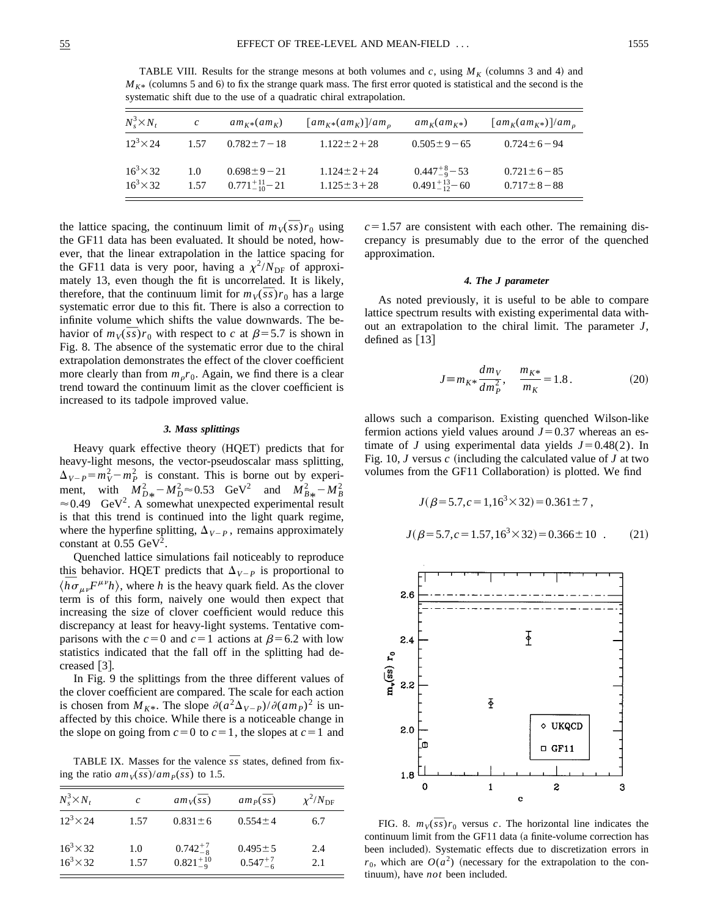TABLE VIII. Results for the strange mesons at both volumes and  $c$ , using  $M_K$  (columns 3 and 4) and  $M_{K^*}$  (columns 5 and 6) to fix the strange quark mass. The first error quoted is statistical and the second is the systematic shift due to the use of a quadratic chiral extrapolation.

| $N_s^3 \times N_t$                   | $\mathcal{C}$ | $am_{K^*}(am_K)$                               | $\left[am_{K^*}(am_K)\right]/am_o$       | $am_K(am_{K*})$                                    | $\left[am_K(am_{K^*})\right]/am_o$       |
|--------------------------------------|---------------|------------------------------------------------|------------------------------------------|----------------------------------------------------|------------------------------------------|
| $12^3 \times 24$                     | 1.57          | $0.782 \pm 7 - 18$                             | $1.122 \pm 2 + 28$                       | $0.505 \pm 9 - 65$                                 | $0.724 \pm 6 - 94$                       |
| $16^3 \times 32$<br>$16^3 \times 32$ | 1.0<br>1.57   | $0.698 \pm 9 - 21$<br>$0.771_{-10}^{+11} - 21$ | $1.124 \pm 2 + 24$<br>$1.125 \pm 3 + 28$ | $0.447^{+8}_{-9} - 53$<br>$0.491^{+13}_{-12} - 60$ | $0.721 \pm 6 - 85$<br>$0.717 \pm 8 - 88$ |

the lattice spacing, the continuum limit of  $m_V(\overline{s_s})r_0$  using the GF11 data has been evaluated. It should be noted, however, that the linear extrapolation in the lattice spacing for the GF11 data is very poor, having a  $\chi^2/N_{\text{DF}}$  of approximately 13, even though the fit is uncorrelated. It is likely, mately 13, even though the fit is uncorrelated. It is likely, therefore, that the continuum limit for  $m_V(\overline{s}s)r_0$  has a large systematic error due to this fit. There is also a correction to infinite volume which shifts the value downwards. The beinfinite volume which shifts the value downwards. The be-<br>havior of  $m_V(\bar{s}s)r_0$  with respect to *c* at  $\beta$ =5.7 is shown in Fig. 8. The absence of the systematic error due to the chiral extrapolation demonstrates the effect of the clover coefficient more clearly than from  $m_p r_0$ . Again, we find there is a clear trend toward the continuum limit as the clover coefficient is increased to its tadpole improved value.

#### *3. Mass splittings*

Heavy quark effective theory (HQET) predicts that for heavy-light mesons, the vector-pseudoscalar mass splitting,  $\Delta_{V-P} = m_V^2 - m_P^2$  is constant. This is borne out by experiment, with  $M_{D*}^2 - M_D^2 \approx 0.53$  GeV<sup>2</sup> and  $M_{B*}^2 - M_B^2$ <br>  $\approx 0.40$  GeV<sup>2</sup> A computed uportantly applicable results  $\approx 0.49$  GeV<sup>2</sup>. A somewhat unexpected experimental result is that this trend is continued into the light quark regime, where the hyperfine splitting,  $\Delta_{V-P}$ , remains approximately constant at  $0.55 \text{ GeV}^2$ .

Quenched lattice simulations fail noticeably to reproduce this behavior. HQET predicts that  $\Delta_{V-P}$  is proportional to this behavior. HQET predicts that  $\Delta_{V-P}$  is proportional to  $\langle \overline{h} \sigma_{\mu\nu} F^{\mu\nu} h \rangle$ , where *h* is the heavy quark field. As the clover term is of this form, naively one would then expect that increasing the size of clover coefficient would reduce this discrepancy at least for heavy-light systems. Tentative comparisons with the  $c=0$  and  $c=1$  actions at  $\beta=6.2$  with low statistics indicated that the fall off in the splitting had decreased  $\lceil 3 \rceil$ .

In Fig. 9 the splittings from the three different values of the clover coefficient are compared. The scale for each action is chosen from  $M_{K^*}$ . The slope  $\partial (a^2\Delta_{V-P})/\partial (am_P)^2$  is unaffected by this choice. While there is a noticeable change in the slope on going from  $c=0$  to  $c=1$ , the slopes at  $c=1$  and

TABLE IX. Masses for the valence  $\overline{s}$  states, defined from fix**i** ABLE IX. Masses for the valence<br>
ing the ratio  $am_V(\overline{ss})/am_P(\overline{ss})$  to 1.5.

| $N_s^3 \times N_t$                   | C           | $am_V(\overline{ss})$                   | $am_p(\overline{ss})$              | $\chi^2/N_{\rm DF}$ |
|--------------------------------------|-------------|-----------------------------------------|------------------------------------|---------------------|
| $12^3 \times 24$                     | 1.57        | $0.831 \pm 6$                           | $0.554 \pm 4$                      | 6.7                 |
| $16^3 \times 32$<br>$16^3 \times 32$ | 1.0<br>1.57 | $0.742_{-8}^{+7}$<br>$0.821^{+10}_{-9}$ | $0.495 \pm 5$<br>$0.547^{+7}_{-6}$ | 2.4<br>2.1          |

 $c=1.57$  are consistent with each other. The remaining discrepancy is presumably due to the error of the quenched approximation.

### *4. The J parameter*

As noted previously, it is useful to be able to compare lattice spectrum results with existing experimental data without an extrapolation to the chiral limit. The parameter *J*, defined as  $[13]$ 

$$
J \equiv m_{K^*} \frac{dm_V}{dm_P^2}, \quad \frac{m_{K^*}}{m_K} = 1.8 \,. \tag{20}
$$

allows such a comparison. Existing quenched Wilson-like fermion actions yield values around  $J=0.37$  whereas an estimate of *J* using experimental data yields  $J=0.48(2)$ . In Fig. 10,  $J$  versus  $c$  (including the calculated value of  $J$  at two volumes from the GF11 Collaboration) is plotted. We find

$$
J(\beta=5.7, c=1, 16^3 \times 32) = 0.361 \pm 7,
$$
  

$$
J(\beta=5.7, c=1.57, 16^3 \times 32) = 0.366 \pm 10.
$$
 (21)



FIG. 8.  $m_V(\overline{ss})r_0$  versus *c*. The horizontal line indicates the continuum limit from the GF11 data (a finite-volume correction has been included). Systematic effects due to discretization errors in  $r_0$ , which are  $O(a^2)$  (necessary for the extrapolation to the continuum), have *not* been included.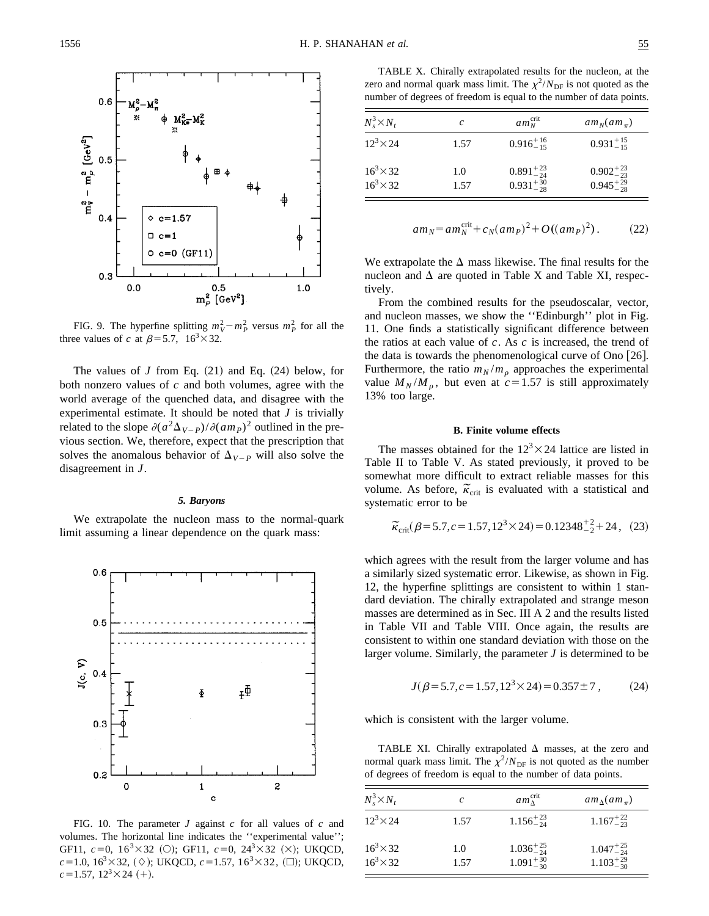

FIG. 9. The hyperfine splitting  $m_V^2 - m_P^2$  versus  $m_P^2$  for all the three values of *c* at  $\beta$ =5.7, 16<sup>3</sup>×32.

The values of  $J$  from Eq.  $(21)$  and Eq.  $(24)$  below, for both nonzero values of *c* and both volumes, agree with the world average of the quenched data, and disagree with the experimental estimate. It should be noted that *J* is trivially related to the slope  $\partial (a^2\Delta_{V-P})/\partial (am_P)^2$  outlined in the previous section. We, therefore, expect that the prescription that solves the anomalous behavior of  $\Delta_{V-P}$  will also solve the disagreement in *J*.

#### *5. Baryons*

We extrapolate the nucleon mass to the normal-quark limit assuming a linear dependence on the quark mass:



FIG. 10. The parameter *J* against *c* for all values of *c* and volumes. The horizontal line indicates the ''experimental value''; GF11,  $c=0$ ,  $16^3 \times 32$  (O); GF11,  $c=0$ ,  $24^3 \times 32$  ( $\times$ ); UKQCD,  $c=1.0, 16^3\times32, (\diamond)$ ; UKQCD,  $c=1.57, 16^3\times32, (\square)$ ; UKQCD,  $c=1.57$ ,  $12^3 \times 24$  (+).

TABLE X. Chirally extrapolated results for the nucleon, at the zero and normal quark mass limit. The  $\chi^2/N_{\text{DF}}$  is not quoted as the number of degrees of freedom is equal to the number of data points.

| $N_s^3 \times N_t$                   | c           | $am_N^{\text{crit}}$                       | $am_N(am_{\pi})$                           |
|--------------------------------------|-------------|--------------------------------------------|--------------------------------------------|
| $12^3 \times 24$                     | 1.57        | $0.916_{-15}^{+16}$                        | $0.931_{-15}^{+15}$                        |
| $16^3 \times 32$<br>$16^3 \times 32$ | 1.0<br>1.57 | $0.891_{-24}^{+23}$<br>$0.931_{-28}^{+30}$ | $0.902_{-23}^{+23}$<br>$0.945_{-28}^{+29}$ |

$$
am_N = am_N^{\text{crit}} + c_N(am_P)^2 + O((am_P)^2). \tag{22}
$$

We extrapolate the  $\Delta$  mass likewise. The final results for the nucleon and  $\Delta$  are quoted in Table X and Table XI, respectively.

From the combined results for the pseudoscalar, vector, and nucleon masses, we show the ''Edinburgh'' plot in Fig. 11. One finds a statistically significant difference between the ratios at each value of *c*. As *c* is increased, the trend of the data is towards the phenomenological curve of Ono  $[26]$ . Furthermore, the ratio  $m_N/m_\rho$  approaches the experimental value  $M_N/M_\rho$ , but even at  $c=1.57$  is still approximately 13% too large.

### **B. Finite volume effects**

The masses obtained for the  $12<sup>3</sup> \times 24$  lattice are listed in Table II to Table V. As stated previously, it proved to be somewhat more difficult to extract reliable masses for this somewhat more difficult to extract renable masses for this volume. As before,  $\tilde{\kappa}_{\rm crit}$  is evaluated with a statistical and systematic error to be

$$
\widetilde{\kappa}_{\rm crit}(\beta=5.7, c=1.57, 12^3 \times 24) = 0.12348^{+2}_{-2} + 24, \quad (23)
$$

which agrees with the result from the larger volume and has a similarly sized systematic error. Likewise, as shown in Fig. 12, the hyperfine splittings are consistent to within 1 standard deviation. The chirally extrapolated and strange meson masses are determined as in Sec. III A 2 and the results listed in Table VII and Table VIII. Once again, the results are consistent to within one standard deviation with those on the larger volume. Similarly, the parameter *J* is determined to be

$$
J(\beta = 5.7, c = 1.57, 12^3 \times 24) = 0.357 \pm 7 , \qquad (24)
$$

which is consistent with the larger volume.

TABLE XI. Chirally extrapolated  $\Delta$  masses, at the zero and normal quark mass limit. The  $\chi^2/N_{\text{DF}}$  is not quoted as the number of degrees of freedom is equal to the number of data points.

| c    | $am_\Lambda^{\text{crit}}$ | $am_{\Lambda}(am_{\pi})$                      |
|------|----------------------------|-----------------------------------------------|
| 1.57 | $1.156_{-24}^{+23}$        | $1.167^{+22}_{-23}$                           |
| 1.0  |                            | $1.047_{-24}^{+25}$ $1.103_{-30}^{+29}$       |
|      | 1.57                       | $\frac{1.036_{-24}^{+25}}{1.091_{-30}^{+30}}$ |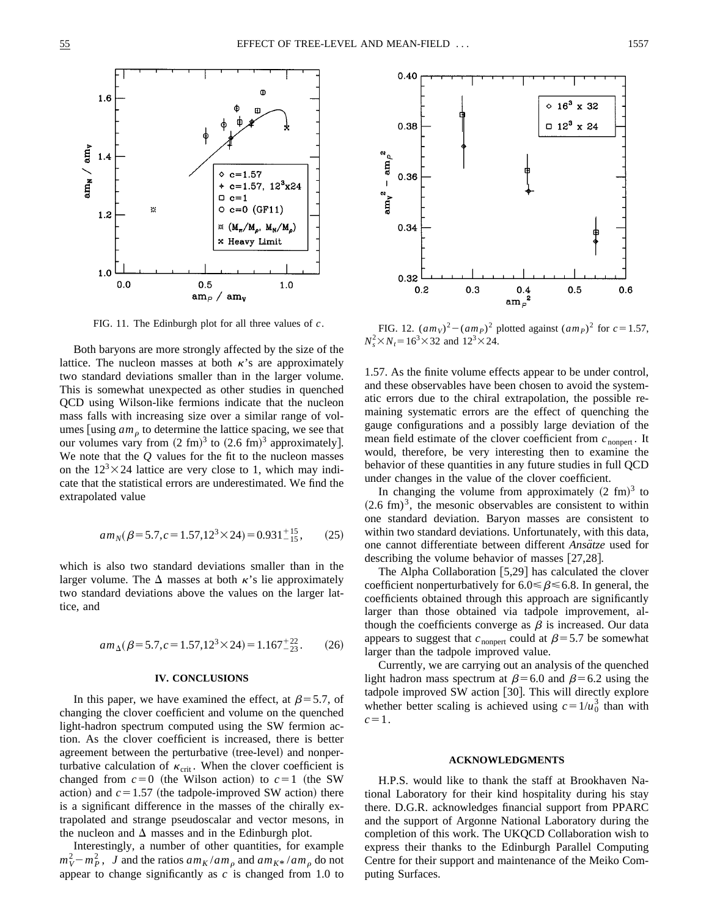

Both baryons are more strongly affected by the size of the lattice. The nucleon masses at both  $\kappa$ 's are approximately two standard deviations smaller than in the larger volume. This is somewhat unexpected as other studies in quenched QCD using Wilson-like fermions indicate that the nucleon mass falls with increasing size over a similar range of volumes  $\lfloor \text{using } am_{\rho} \text{ to determine the lattice spacing, we see that}$ our volumes vary from  $(2 \text{ fm})^3$  to  $(2.6 \text{ fm})^3$  approximately]. We note that the *Q* values for the fit to the nucleon masses on the  $12<sup>3</sup> \times 24$  lattice are very close to 1, which may indicate that the statistical errors are underestimated. We find the extrapolated value

$$
am_N(\beta = 5.7, c = 1.57, 12^3 \times 24) = 0.931^{+15}_{-15},
$$
 (25)

which is also two standard deviations smaller than in the larger volume. The  $\Delta$  masses at both  $\kappa$ 's lie approximately two standard deviations above the values on the larger lattice, and

$$
am_{\Delta}(\beta=5.7, c=1.57, 12^3 \times 24) = 1.167^{+22}_{-23}. \tag{26}
$$

### **IV. CONCLUSIONS**

In this paper, we have examined the effect, at  $\beta$ =5.7, of changing the clover coefficient and volume on the quenched light-hadron spectrum computed using the SW fermion action. As the clover coefficient is increased, there is better agreement between the perturbative (tree-level) and nonperturbative calculation of  $\kappa_{\rm crit}$ . When the clover coefficient is changed from  $c=0$  (the Wilson action) to  $c=1$  (the SW action) and  $c=1.57$  (the tadpole-improved SW action) there is a significant difference in the masses of the chirally extrapolated and strange pseudoscalar and vector mesons, in the nucleon and  $\Delta$  masses and in the Edinburgh plot.

Interestingly, a number of other quantities, for example  $(m_V^2 - m_P^2)$ , *J* and the ratios  $am_K / am_p$  and  $am_{K^*} / am_p$  do not appear to change significantly as *c* is changed from 1.0 to



FIG. 11. The Edinburgh plot for all three values of *c*. FIG. 12.  $(am_V)^2 - (am_P)^2$  plotted against  $(am_P)^2$  for  $c=1.57$ ,  $N_s^2 \times N_t = 16^3 \times 32$  and  $12^3 \times 24$ .

1.57. As the finite volume effects appear to be under control, and these observables have been chosen to avoid the systematic errors due to the chiral extrapolation, the possible remaining systematic errors are the effect of quenching the gauge configurations and a possibly large deviation of the mean field estimate of the clover coefficient from  $c_{\text{nonpert}}$ . It would, therefore, be very interesting then to examine the behavior of these quantities in any future studies in full QCD under changes in the value of the clover coefficient.

In changing the volume from approximately  $(2 \text{ fm})^3$  to  $(2.6~\text{fm})^3$ , the mesonic observables are consistent to within one standard deviation. Baryon masses are consistent to within two standard deviations. Unfortunately, with this data, one cannot differentiate between different *Ansatze* used for describing the volume behavior of masses  $[27,28]$ .

The Alpha Collaboration  $[5,29]$  has calculated the clover coefficient nonperturbatively for  $6.0 \le \beta \le 6.8$ . In general, the coefficients obtained through this approach are significantly larger than those obtained via tadpole improvement, although the coefficients converge as  $\beta$  is increased. Our data appears to suggest that  $c_{\text{nonpert}}$  could at  $\beta$ =5.7 be somewhat larger than the tadpole improved value.

Currently, we are carrying out an analysis of the quenched light hadron mass spectrum at  $\beta$ =6.0 and  $\beta$ =6.2 using the tadpole improved SW action [30]. This will directly explore whether better scaling is achieved using  $c=1/u_0^3$  than with  $c=1$ .

### **ACKNOWLEDGMENTS**

H.P.S. would like to thank the staff at Brookhaven National Laboratory for their kind hospitality during his stay there. D.G.R. acknowledges financial support from PPARC and the support of Argonne National Laboratory during the completion of this work. The UKQCD Collaboration wish to express their thanks to the Edinburgh Parallel Computing Centre for their support and maintenance of the Meiko Computing Surfaces.